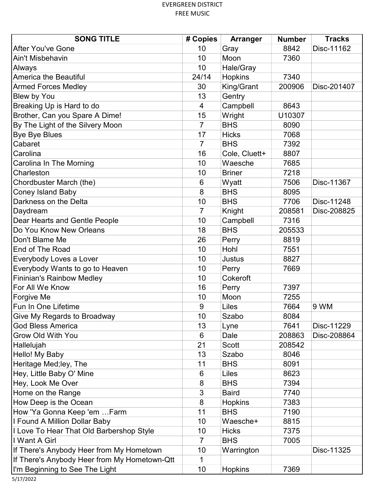| <b>SONG TITLE</b>                            | # Copies       | Arranger       | <b>Number</b> | <b>Tracks</b> |
|----------------------------------------------|----------------|----------------|---------------|---------------|
| <b>After You've Gone</b>                     | 10             | Gray           | 8842          | Disc-11162    |
| Ain't Misbehavin                             | 10             | Moon           | 7360          |               |
| Always                                       | 10             | Hale/Gray      |               |               |
| <b>America the Beautiful</b>                 | 24/14          | <b>Hopkins</b> | 7340          |               |
| <b>Armed Forces Medley</b>                   | 30             | King/Grant     | 200906        | Disc-201407   |
| Blew by You                                  | 13             | Gentry         |               |               |
| Breaking Up is Hard to do                    | 4              | Campbell       | 8643          |               |
| Brother, Can you Spare A Dime!               | 15             | Wright         | U10307        |               |
| By The Light of the Silvery Moon             | $\overline{7}$ | <b>BHS</b>     | 8090          |               |
| <b>Bye Bye Blues</b>                         | 17             | <b>Hicks</b>   | 7068          |               |
| Cabaret                                      | 7              | <b>BHS</b>     | 7392          |               |
| Carolina                                     | 16             | Cole, Cluett+  | 8807          |               |
| Carolina In The Morning                      | 10             | Waesche        | 7685          |               |
| Charleston                                   | 10             | <b>Briner</b>  | 7218          |               |
| Chordbuster March (the)                      | 6              | Wyatt          | 7506          | Disc-11367    |
| <b>Coney Island Baby</b>                     | 8              | <b>BHS</b>     | 8095          |               |
| Darkness on the Delta                        | 10             | <b>BHS</b>     | 7706          | Disc-11248    |
| Daydream                                     | 7              | Knight         | 208581        | Disc-208825   |
| Dear Hearts and Gentle People                | 10             | Campbell       | 7316          |               |
| Do You Know New Orleans                      | 18             | <b>BHS</b>     | 205533        |               |
| Don't Blame Me                               | 26             | Perry          | 8819          |               |
| End of The Road                              | 10             | Hohl           | 7551          |               |
| Everybody Loves a Lover                      | 10             | <b>Justus</b>  | 8827          |               |
| Everybody Wants to go to Heaven              | 10             | Perry          | 7669          |               |
| <b>Fininian's Rainbow Medley</b>             | 10             | Cokeroft       |               |               |
| For All We Know                              | 16             | Perry          | 7397          |               |
| Forgive Me                                   | 10             | Moon           | 7255          |               |
| Fun In One Lifetime                          | 9              | Liles          | 7664          | 9 WM          |
| Give My Regards to Broadway                  | 10             | Szabo          | 8084          |               |
| <b>God Bless America</b>                     | 13             | Lyne           | 7641          | Disc-11229    |
| Grow Old With You                            | 6              | Dale           | 208863        | Disc-208864   |
| Hallelujah                                   | 21             | <b>Scott</b>   | 208542        |               |
| Hello! My Baby                               | 13             | Szabo          | 8046          |               |
| Heritage Med;ley, The                        | 11             | <b>BHS</b>     | 8091          |               |
| Hey, Little Baby O' Mine                     | 6              | Liles          | 8623          |               |
| Hey, Look Me Over                            | 8              | <b>BHS</b>     | 7394          |               |
| Home on the Range                            | 3              | <b>Baird</b>   | 7740          |               |
| How Deep is the Ocean                        | 8              | <b>Hopkins</b> | 7383          |               |
| How 'Ya Gonna Keep 'em  Farm                 | 11             | <b>BHS</b>     | 7190          |               |
| I Found A Million Dollar Baby                | 10             | Waesche+       | 8815          |               |
| I Love To Hear That Old Barbershop Style     | 10             | <b>Hicks</b>   | 7375          |               |
| I Want A Girl                                | $\overline{7}$ | <b>BHS</b>     | 7005          |               |
| If There's Anybody Heer from My Hometown     | 10             | Warrington     |               | Disc-11325    |
| If There's Anybody Heer from My Hometown-Qtt | 1              |                |               |               |
| I'm Beginning to See The Light               | 10             | <b>Hopkins</b> | 7369          |               |

5/17/2022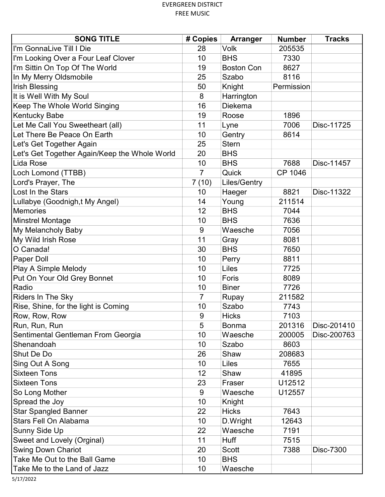| <b>SONG TITLE</b>                             | # Copies       | Arranger          | <b>Number</b> | <b>Tracks</b> |
|-----------------------------------------------|----------------|-------------------|---------------|---------------|
| II'm GonnaLive Till I Die                     | 28             | Volk              | 205535        |               |
| I'm Looking Over a Four Leaf Clover           | 10             | <b>BHS</b>        | 7330          |               |
| I'm Sittin On Top Of The World                | 19             | <b>Boston Con</b> | 8627          |               |
| In My Merry Oldsmobile                        | 25             | Szabo             | 8116          |               |
| <b>Irish Blessing</b>                         | 50             | Knight            | Permission    |               |
| It is Well With My Soul                       | 8              | Harrington        |               |               |
| Keep The Whole World Singing                  | 16             | <b>Diekema</b>    |               |               |
| <b>Kentucky Babe</b>                          | 19             | Roose             | 1896          |               |
| Let Me Call You Sweetheart (all)              | 11             | Lyne              | 7006          | Disc-11725    |
| Let There Be Peace On Earth                   | 10             | Gentry            | 8614          |               |
| Let's Get Together Again                      | 25             | <b>Stern</b>      |               |               |
| Let's Get Together Again/Keep the Whole World | 20             | <b>BHS</b>        |               |               |
| Lida Rose                                     | 10             | <b>BHS</b>        | 7688          | Disc-11457    |
| Loch Lomond (TTBB)                            | $\overline{7}$ | Quick             | CP 1046       |               |
| Lord's Prayer, The                            | 7(10)          | Liles/Gentry      |               |               |
| Lost In the Stars                             | 10             | Haeger            | 8821          | Disc-11322    |
| Lullabye (Goodnigh,t My Angel)                | 14             | Young             | 211514        |               |
| Memories                                      | 12             | <b>BHS</b>        | 7044          |               |
| Minstrel Montage                              | 10             | <b>BHS</b>        | 7636          |               |
| My Melancholy Baby                            | 9              | Waesche           | 7056          |               |
| My Wild Irish Rose                            | 11             | Gray              | 8081          |               |
| O Canada!                                     | 30             | <b>BHS</b>        | 7650          |               |
| Paper Doll                                    | 10             | Perry             | 8811          |               |
| Play A Simple Melody                          | 10             | Liles             | 7725          |               |
| Put On Your Old Grey Bonnet                   | 10             | Foris             | 8089          |               |
| Radio                                         | 10             | <b>Biner</b>      | 7726          |               |
| <b>Riders In The Sky</b>                      | $\overline{7}$ | Rupay             | 211582        |               |
| Rise, Shine, for the light is Coming          | 10             | Szabo             | 7743          |               |
| Row, Row, Row                                 | 9              | <b>Hicks</b>      | 7103          |               |
| Run, Run, Run                                 | 5              | <b>Bonma</b>      | 201316        | Disc-201410   |
| Sentimental Gentleman From Georgia            | 10             | Waesche           | 200005        | Disc-200763   |
| Shenandoah                                    | 10             | Szabo             | 8603          |               |
| <b>Shut De Do</b>                             | 26             | Shaw              | 208683        |               |
| Sing Out A Song                               | 10             | Liles             | 7655          |               |
| <b>Sixteen Tons</b>                           | 12             | Shaw              | 41895         |               |
| <b>Sixteen Tons</b>                           | 23             | Fraser            | U12512        |               |
| So Long Mother                                | 9              | Waesche           | U12557        |               |
| Spread the Joy                                | 10             | Knight            |               |               |
| <b>Star Spangled Banner</b>                   | 22             | <b>Hicks</b>      | 7643          |               |
| Stars Fell On Alabama                         | 10             | D.Wright          | 12643         |               |
| Sunny Side Up                                 | 22             | Waesche           | 7191          |               |
| Sweet and Lovely (Orginal)                    | 11             | <b>Huff</b>       | 7515          |               |
| <b>Swing Down Chariot</b>                     | 20             | Scott             | 7388          | Disc-7300     |
| Take Me Out to the Ball Game                  | 10             | <b>BHS</b>        |               |               |
| Take Me to the Land of Jazz                   | 10             | Waesche           |               |               |

5/17/2022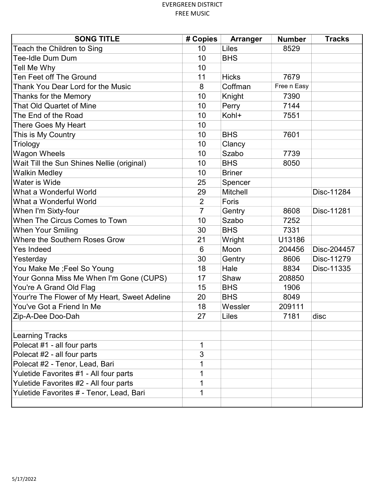| <b>SONG TITLE</b>                             | # Copies       | Arranger      | <b>Number</b> | <b>Tracks</b> |
|-----------------------------------------------|----------------|---------------|---------------|---------------|
| Teach the Children to Sing                    | 10             | Liles         | 8529          |               |
| Tee-Idle Dum Dum                              | 10             | <b>BHS</b>    |               |               |
| Tell Me Why                                   | 10             |               |               |               |
| <b>Ten Feet off The Ground</b>                | 11             | <b>Hicks</b>  | 7679          |               |
| Thank You Dear Lord for the Music             | 8              | Coffman       | Free n Easy   |               |
| Thanks for the Memory                         | 10             | Knight        | 7390          |               |
| That Old Quartet of Mine                      | 10             | Perry         | 7144          |               |
| The End of the Road                           | 10             | Kohl+         | 7551          |               |
| There Goes My Heart                           | 10             |               |               |               |
| This is My Country                            | 10             | <b>BHS</b>    | 7601          |               |
| Triology                                      | 10             | Clancy        |               |               |
| <b>Wagon Wheels</b>                           | 10             | Szabo         | 7739          |               |
| Wait Till the Sun Shines Nellie (original)    | 10             | <b>BHS</b>    | 8050          |               |
| <b>Walkin Medley</b>                          | 10             | <b>Briner</b> |               |               |
| <b>Water is Wide</b>                          | 25             | Spencer       |               |               |
| What a Wonderful World                        | 29             | Mitchell      |               | Disc-11284    |
| What a Wonderful World                        | $\overline{2}$ | Foris         |               |               |
| When I'm Sixty-four                           | $\overline{7}$ | Gentry        | 8608          | Disc-11281    |
| <b>When The Circus Comes to Town</b>          | 10             | Szabo         | 7252          |               |
| <b>When Your Smiling</b>                      | 30             | <b>BHS</b>    | 7331          |               |
| <b>Where the Southern Roses Grow</b>          | 21             | Wright        | U13186        |               |
| <b>Yes Indeed</b>                             | 6              | Moon          | 204456        | Disc-204457   |
| Yesterday                                     | 30             | Gentry        | 8606          | Disc-11279    |
| You Make Me ;Feel So Young                    | 18             | Hale          | 8834          | Disc-11335    |
| Your Gonna Miss Me When I'm Gone (CUPS)       | 17             | Shaw          | 208850        |               |
| You're A Grand Old Flag                       | 15             | <b>BHS</b>    | 1906          |               |
| Your're The Flower of My Heart, Sweet Adeline | 20             | <b>BHS</b>    | 8049          |               |
| You've Got a Friend In Me                     | 18             | Wessler       | 209111        |               |
| Zip-A-Dee Doo-Dah                             | 27             | Liles         | 7181          | disc          |
|                                               |                |               |               |               |
| <b>Learning Tracks</b>                        |                |               |               |               |
| Polecat #1 - all four parts                   | 1              |               |               |               |
| Polecat #2 - all four parts                   | 3              |               |               |               |
| Polecat #2 - Tenor, Lead, Bari                | 1              |               |               |               |
| Yuletide Favorites #1 - All four parts        | 1              |               |               |               |
| Yuletide Favorites #2 - All four parts        | 1              |               |               |               |
| Yuletide Favorites # - Tenor, Lead, Bari      | 1              |               |               |               |
|                                               |                |               |               |               |